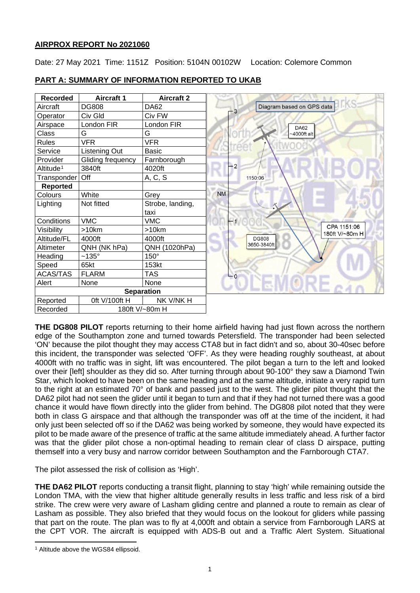# **AIRPROX REPORT No 2021060**

Date: 27 May 2021 Time: 1151Z Position: 5104N 00102W Location: Colemore Common

| <b>Recorded</b>       | <b>Aircraft 1</b> | <b>Aircraft 2</b> |           |         |                               |
|-----------------------|-------------------|-------------------|-----------|---------|-------------------------------|
| Aircraft              | <b>DG808</b>      | DA62              |           | $-3$    | Diagram based on GPS data     |
| Operator              | Civ Gld           | Civ FW            |           |         |                               |
| Airspace              | London FIR        | London FIR        |           |         | <b>DA62</b>                   |
| Class                 | G                 | G                 |           |         | $-4000$ ft alt                |
| <b>Rules</b>          | <b>VFR</b>        | <b>VFR</b>        |           |         |                               |
| Service               | Listening Out     | Basic             |           |         |                               |
| Provider              | Gliding frequency | Farnborough       |           |         |                               |
| Altitude <sup>1</sup> | 3840ft            | 4020ft            |           | $-2$    |                               |
| Transponder           | Off               | A, C, S           |           | 1150:06 |                               |
| <b>Reported</b>       |                   |                   |           |         |                               |
| Colours               | White             | Grey              | <b>NM</b> |         |                               |
| Lighting              | Not fitted        | Strobe, landing,  |           |         |                               |
|                       |                   | taxi              |           |         |                               |
| Conditions            | <b>VMC</b>        | <b>VMC</b>        |           |         |                               |
| Visibility            | >10km             | $>10$ km          |           |         | CPA 1151:06<br>180ft V/~80m H |
| Altitude/FL           | 4000ft            | 4000ft            |           |         | <b>DG808</b>                  |
| Altimeter             | QNH (NK hPa)      | QNH (1020hPa)     |           |         | 3650-3840ft                   |
| Heading               | $~135^\circ$      | 150°              |           |         |                               |
| Speed                 | 65kt              | 153kt             |           |         |                               |
| <b>ACAS/TAS</b>       | <b>FLARM</b>      | TAS               | $-0$      |         |                               |
| Alert                 | None              | None              |           |         |                               |
|                       |                   | <b>Separation</b> |           |         |                               |
| Reported              | Oft V/100ft H     | NK V/NK H         |           |         |                               |
| Recorded              | 180ft V/~80m H    |                   |           |         |                               |

# **PART A: SUMMARY OF INFORMATION REPORTED TO UKAB**

**THE DG808 PILOT** reports returning to their home airfield having had just flown across the northern edge of the Southampton zone and turned towards Petersfield. The transponder had been selected 'ON' because the pilot thought they may access CTA8 but in fact didn't and so, about 30-40sec before this incident, the transponder was selected 'OFF'. As they were heading roughly southeast, at about 4000ft with no traffic was in sight, lift was encountered. The pilot began a turn to the left and looked over their [left] shoulder as they did so. After turning through about 90-100° they saw a Diamond Twin Star, which looked to have been on the same heading and at the same altitude, initiate a very rapid turn to the right at an estimated 70° of bank and passed just to the west. The glider pilot thought that the DA62 pilot had not seen the glider until it began to turn and that if they had not turned there was a good chance it would have flown directly into the glider from behind. The DG808 pilot noted that they were both in class G airspace and that although the transponder was off at the time of the incident, it had only just been selected off so if the DA62 was being worked by someone, they would have expected its pilot to be made aware of the presence of traffic at the same altitude immediately ahead. A further factor was that the glider pilot chose a non-optimal heading to remain clear of class D airspace, putting themself into a very busy and narrow corridor between Southampton and the Farnborough CTA7.

The pilot assessed the risk of collision as 'High'.

**THE DA62 PILOT** reports conducting a transit flight, planning to stay 'high' while remaining outside the London TMA, with the view that higher altitude generally results in less traffic and less risk of a bird strike. The crew were very aware of Lasham gliding centre and planned a route to remain as clear of Lasham as possible. They also briefed that they would focus on the lookout for gliders while passing that part on the route. The plan was to fly at 4,000ft and obtain a service from Farnborough LARS at the CPT VOR. The aircraft is equipped with ADS-B out and a Traffic Alert System. Situational

<span id="page-0-0"></span><sup>&</sup>lt;sup>1</sup> Altitude above the WGS84 ellipsoid.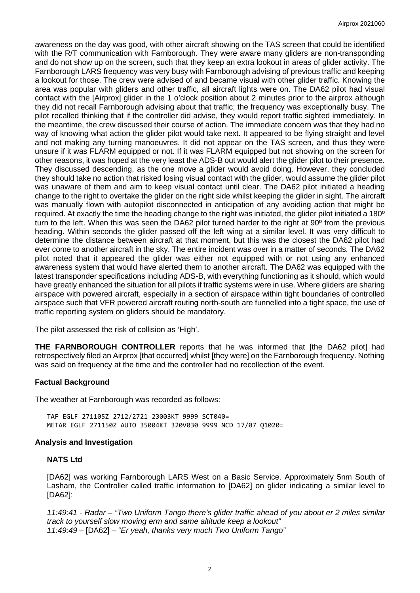awareness on the day was good, with other aircraft showing on the TAS screen that could be identified with the R/T communication with Farnborough. They were aware many gliders are non-transponding and do not show up on the screen, such that they keep an extra lookout in areas of glider activity. The Farnborough LARS frequency was very busy with Farnborough advising of previous traffic and keeping a lookout for those. The crew were advised of and became visual with other glider traffic. Knowing the area was popular with gliders and other traffic, all aircraft lights were on. The DA62 pilot had visual contact with the [Airprox] glider in the 1 o'clock position about 2 minutes prior to the airprox although they did not recall Farnborough advising about that traffic; the frequency was exceptionally busy. The pilot recalled thinking that if the controller did advise, they would report traffic sighted immediately. In the meantime, the crew discussed their course of action. The immediate concern was that they had no way of knowing what action the glider pilot would take next. It appeared to be flying straight and level and not making any turning manoeuvres. It did not appear on the TAS screen, and thus they were unsure if it was FLARM equipped or not. If it was FLARM equipped but not showing on the screen for other reasons, it was hoped at the very least the ADS-B out would alert the glider pilot to their presence. They discussed descending, as the one move a glider would avoid doing. However, they concluded they should take no action that risked losing visual contact with the glider, would assume the glider pilot was unaware of them and aim to keep visual contact until clear. The DA62 pilot initiated a heading change to the right to overtake the glider on the right side whilst keeping the glider in sight. The aircraft was manually flown with autopilot disconnected in anticipation of any avoiding action that might be required. At exactly the time the heading change to the right was initiated, the glider pilot initiated a 180º turn to the left. When this was seen the DA62 pilot turned harder to the right at 90º from the previous heading. Within seconds the glider passed off the left wing at a similar level. It was very difficult to determine the distance between aircraft at that moment, but this was the closest the DA62 pilot had ever come to another aircraft in the sky. The entire incident was over in a matter of seconds. The DA62 pilot noted that it appeared the glider was either not equipped with or not using any enhanced awareness system that would have alerted them to another aircraft. The DA62 was equipped with the latest transponder specifications including ADS-B, with everything functioning as it should, which would have greatly enhanced the situation for all pilots if traffic systems were in use. Where gliders are sharing airspace with powered aircraft, especially in a section of airspace within tight boundaries of controlled airspace such that VFR powered aircraft routing north-south are funnelled into a tight space, the use of traffic reporting system on gliders should be mandatory.

The pilot assessed the risk of collision as 'High'.

**THE FARNBOROUGH CONTROLLER** reports that he was informed that [the DA62 pilot] had retrospectively filed an Airprox [that occurred] whilst [they were] on the Farnborough frequency. Nothing was said on frequency at the time and the controller had no recollection of the event.

### **Factual Background**

The weather at Farnborough was recorded as follows:

TAF EGLF 271105Z 2712/2721 23003KT 9999 SCT040= METAR EGLF 271150Z AUTO 35004KT 320V030 9999 NCD 17/07 Q1020=

#### **Analysis and Investigation**

### **NATS Ltd**

[DA62] was working Farnborough LARS West on a Basic Service. Approximately 5nm South of Lasham, the Controller called traffic information to [DA62] on glider indicating a similar level to [DA62]:

*11:49:41 - Radar – "Two Uniform Tango there's glider traffic ahead of you about er 2 miles similar track to yourself slow moving erm and same altitude keep a lookout" 11:49:49 –* [DA62] *– "Er yeah, thanks very much Two Uniform Tango"*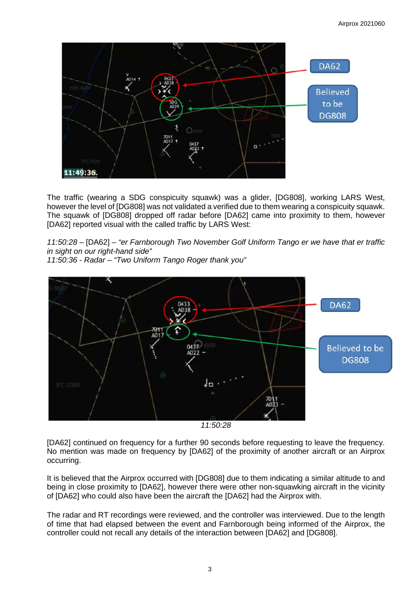

The traffic (wearing a SDG conspicuity squawk) was a glider, [DG808], working LARS West, however the level of [DG808] was not validated a verified due to them wearing a conspicuity squawk. The squawk of [DG808] dropped off radar before [DA62] came into proximity to them, however [DA62] reported visual with the called traffic by LARS West:

*11:50:28 –* [DA62] *– "er Farnborough Two November Golf Uniform Tango er we have that er traffic in sight on our right-hand side"*

*11:50:36 - Radar – "Two Uniform Tango Roger thank you"*





[DA62] continued on frequency for a further 90 seconds before requesting to leave the frequency. No mention was made on frequency by [DA62] of the proximity of another aircraft or an Airprox occurring.

It is believed that the Airprox occurred with [DG808] due to them indicating a similar altitude to and being in close proximity to [DA62], however there were other non-squawking aircraft in the vicinity of [DA62] who could also have been the aircraft the [DA62] had the Airprox with.

The radar and RT recordings were reviewed, and the controller was interviewed. Due to the length of time that had elapsed between the event and Farnborough being informed of the Airprox, the controller could not recall any details of the interaction between [DA62] and [DG808].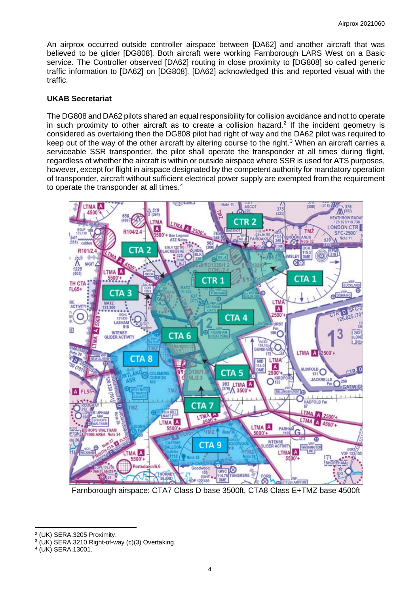An airprox occurred outside controller airspace between [DA62] and another aircraft that was believed to be glider [DG808]. Both aircraft were working Farnborough LARS West on a Basic service. The Controller observed [DA62] routing in close proximity to [DG808] so called generic traffic information to [DA62] on [DG808]. [DA62] acknowledged this and reported visual with the traffic.

# **UKAB Secretariat**

The DG808 and DA62 pilots shared an equal responsibility for collision avoidance and not to operate in such proximity to other aircraft as to create a collision hazard.<sup>[2](#page-3-0)</sup> If the incident geometry is considered as overtaking then the DG808 pilot had right of way and the DA62 pilot was required to keep out of the way of the other aircraft by altering course to the right. [3](#page-3-1) When an aircraft carries a serviceable SSR transponder, the pilot shall operate the transponder at all times during flight, regardless of whether the aircraft is within or outside airspace where SSR is used for ATS purposes, however, except for flight in airspace designated by the competent authority for mandatory operation of transponder, aircraft without sufficient electrical power supply are exempted from the requirement to operate the transponder at all times. $4$ 



Farnborough airspace: CTA7 Class D base 3500ft, CTA8 Class E+TMZ base 4500ft

<span id="page-3-0"></span><sup>2</sup> (UK) SERA.3205 Proximity.

<span id="page-3-1"></span><sup>3</sup> (UK) SERA.3210 Right-of-way (c)(3) Overtaking.

<span id="page-3-2"></span><sup>4</sup> (UK) SERA.13001.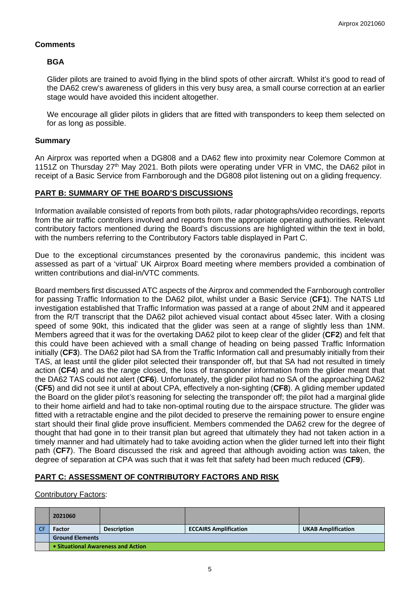# **Comments**

## **BGA**

Glider pilots are trained to avoid flying in the blind spots of other aircraft. Whilst it's good to read of the DA62 crew's awareness of gliders in this very busy area, a small course correction at an earlier stage would have avoided this incident altogether.

We encourage all glider pilots in gliders that are fitted with transponders to keep them selected on for as long as possible.

### **Summary**

An Airprox was reported when a DG808 and a DA62 flew into proximity near Colemore Common at 1151Z on Thursday 27<sup>th</sup> May 2021. Both pilots were operating under VFR in VMC, the DA62 pilot in receipt of a Basic Service from Farnborough and the DG808 pilot listening out on a gliding frequency.

### **PART B: SUMMARY OF THE BOARD'S DISCUSSIONS**

Information available consisted of reports from both pilots, radar photographs/video recordings, reports from the air traffic controllers involved and reports from the appropriate operating authorities. Relevant contributory factors mentioned during the Board's discussions are highlighted within the text in bold, with the numbers referring to the Contributory Factors table displayed in Part C.

Due to the exceptional circumstances presented by the coronavirus pandemic, this incident was assessed as part of a 'virtual' UK Airprox Board meeting where members provided a combination of written contributions and dial-in/VTC comments.

Board members first discussed ATC aspects of the Airprox and commended the Farnborough controller for passing Traffic Information to the DA62 pilot, whilst under a Basic Service (**CF1**). The NATS Ltd investigation established that Traffic Information was passed at a range of about 2NM and it appeared from the R/T transcript that the DA62 pilot achieved visual contact about 45sec later. With a closing speed of some 90kt, this indicated that the glider was seen at a range of slightly less than 1NM. Members agreed that it was for the overtaking DA62 pilot to keep clear of the glider (**CF2**) and felt that this could have been achieved with a small change of heading on being passed Traffic Information initially (**CF3**). The DA62 pilot had SA from the Traffic Information call and presumably initially from their TAS, at least until the glider pilot selected their transponder off, but that SA had not resulted in timely action (**CF4**) and as the range closed, the loss of transponder information from the glider meant that the DA62 TAS could not alert (**CF6**). Unfortunately, the glider pilot had no SA of the approaching DA62 (**CF5**) and did not see it until at about CPA, effectively a non-sighting (**CF8**). A gliding member updated the Board on the glider pilot's reasoning for selecting the transponder off; the pilot had a marginal glide to their home airfield and had to take non-optimal routing due to the airspace structure. The glider was fitted with a retractable engine and the pilot decided to preserve the remaining power to ensure engine start should their final glide prove insufficient. Members commended the DA62 crew for the degree of thought that had gone in to their transit plan but agreed that ultimately they had not taken action in a timely manner and had ultimately had to take avoiding action when the glider turned left into their flight path (**CF7**). The Board discussed the risk and agreed that although avoiding action was taken, the degree of separation at CPA was such that it was felt that safety had been much reduced (**CF9**).

# **PART C: ASSESSMENT OF CONTRIBUTORY FACTORS AND RISK**

#### Contributory Factors:

| 2021060                            |                    |                              |                           |  |  |  |
|------------------------------------|--------------------|------------------------------|---------------------------|--|--|--|
| Factor                             | <b>Description</b> | <b>ECCAIRS Amplification</b> | <b>UKAB Amplification</b> |  |  |  |
| <b>Ground Elements</b>             |                    |                              |                           |  |  |  |
| • Situational Awareness and Action |                    |                              |                           |  |  |  |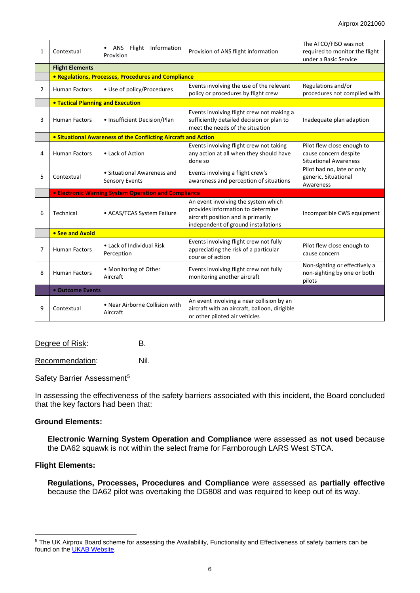| 1 | Contextual                                                      | Flight Information<br>ANS<br>Provision                                                                                                                                              | Provision of ANS flight information                                                                                         | The ATCO/FISO was not<br>required to monitor the flight<br>under a Basic Service    |  |  |  |  |  |
|---|-----------------------------------------------------------------|-------------------------------------------------------------------------------------------------------------------------------------------------------------------------------------|-----------------------------------------------------------------------------------------------------------------------------|-------------------------------------------------------------------------------------|--|--|--|--|--|
|   | <b>Flight Elements</b>                                          |                                                                                                                                                                                     |                                                                                                                             |                                                                                     |  |  |  |  |  |
|   | • Regulations, Processes, Procedures and Compliance             |                                                                                                                                                                                     |                                                                                                                             |                                                                                     |  |  |  |  |  |
| 2 | <b>Human Factors</b>                                            | • Use of policy/Procedures                                                                                                                                                          | Events involving the use of the relevant<br>policy or procedures by flight crew                                             | Regulations and/or<br>procedures not complied with                                  |  |  |  |  |  |
|   | <b>. Tactical Planning and Execution</b>                        |                                                                                                                                                                                     |                                                                                                                             |                                                                                     |  |  |  |  |  |
| 3 | <b>Human Factors</b>                                            | • Insufficient Decision/Plan                                                                                                                                                        | Events involving flight crew not making a<br>sufficiently detailed decision or plan to<br>meet the needs of the situation   | Inadequate plan adaption                                                            |  |  |  |  |  |
|   | • Situational Awareness of the Conflicting Aircraft and Action  |                                                                                                                                                                                     |                                                                                                                             |                                                                                     |  |  |  |  |  |
| 4 | • Lack of Action<br><b>Human Factors</b>                        |                                                                                                                                                                                     | Events involving flight crew not taking<br>any action at all when they should have<br>done so                               | Pilot flew close enough to<br>cause concern despite<br><b>Situational Awareness</b> |  |  |  |  |  |
| 5 | Contextual                                                      | • Situational Awareness and<br><b>Sensory Events</b>                                                                                                                                | Events involving a flight crew's<br>awareness and perception of situations                                                  | Pilot had no, late or only<br>generic, Situational<br>Awareness                     |  |  |  |  |  |
|   | <b>• Electronic Warning System Operation and Compliance</b>     |                                                                                                                                                                                     |                                                                                                                             |                                                                                     |  |  |  |  |  |
| 6 | Technical                                                       | An event involving the system which<br>provides information to determine<br>• ACAS/TCAS System Failure<br>aircraft position and is primarily<br>independent of ground installations |                                                                                                                             | Incompatible CWS equipment                                                          |  |  |  |  |  |
|   | • See and Avoid                                                 |                                                                                                                                                                                     |                                                                                                                             |                                                                                     |  |  |  |  |  |
| 7 | • Lack of Individual Risk<br><b>Human Factors</b><br>Perception |                                                                                                                                                                                     | Events involving flight crew not fully<br>appreciating the risk of a particular<br>course of action                         | Pilot flew close enough to<br>cause concern                                         |  |  |  |  |  |
| 8 | • Monitoring of Other<br><b>Human Factors</b><br>Aircraft       |                                                                                                                                                                                     | Events involving flight crew not fully<br>monitoring another aircraft                                                       | Non-sighting or effectively a<br>non-sighting by one or both<br>pilots              |  |  |  |  |  |
|   | • Outcome Events                                                |                                                                                                                                                                                     |                                                                                                                             |                                                                                     |  |  |  |  |  |
| 9 | Contextual                                                      | • Near Airborne Collision with<br>Aircraft                                                                                                                                          | An event involving a near collision by an<br>aircraft with an aircraft, balloon, dirigible<br>or other piloted air vehicles |                                                                                     |  |  |  |  |  |

Degree of Risk: B.

Recommendation: Nil.

#### Safety Barrier Assessment<sup>[5](#page-5-0)</sup>

In assessing the effectiveness of the safety barriers associated with this incident, the Board concluded that the key factors had been that:

## **Ground Elements:**

**Electronic Warning System Operation and Compliance** were assessed as **not used** because the DA62 squawk is not within the select frame for Farnborough LARS West STCA.

#### **Flight Elements:**

**Regulations, Processes, Procedures and Compliance** were assessed as **partially effective** because the DA62 pilot was overtaking the DG808 and was required to keep out of its way.

<span id="page-5-0"></span><sup>5</sup> The UK Airprox Board scheme for assessing the Availability, Functionality and Effectiveness of safety barriers can be found on the **UKAB Website**.